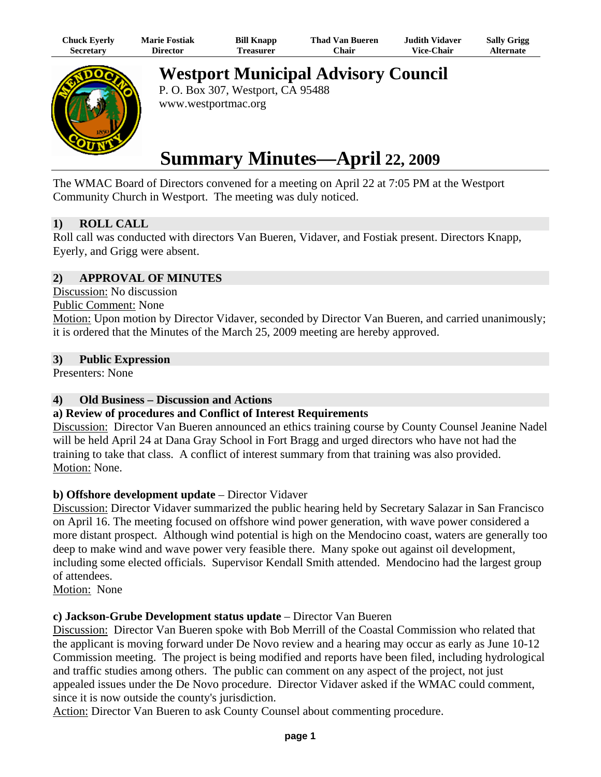| Chuck Eyerly     | <b>Marie Fostiak</b> | <b>Bill Knapp</b> | <b>Thad Van Bueren</b> | <b>Judith Vidaver</b> | <b>Sally Grigg</b> |
|------------------|----------------------|-------------------|------------------------|-----------------------|--------------------|
| <b>Secretary</b> | Director             | <b>Treasurer</b>  | Chair -                | <b>Vice-Chair</b>     | Alternate          |



**Westport Municipal Advisory Council** 

P. O. Box 307, Westport, CA 95488 www.westportmac.org

# **Summary Minutes—April 22, 2009**

The WMAC Board of Directors convened for a meeting on April 22 at 7:05 PM at the Westport Community Church in Westport. The meeting was duly noticed.

# **1) ROLL CALL**

Roll call was conducted with directors Van Bueren, Vidaver, and Fostiak present. Directors Knapp, Eyerly, and Grigg were absent.

# **2) APPROVAL OF MINUTES**

Discussion: No discussion

#### Public Comment: None

Motion: Upon motion by Director Vidaver, seconded by Director Van Bueren, and carried unanimously; it is ordered that the Minutes of the March 25, 2009 meeting are hereby approved.

#### **3) Public Expression**

Presenters: None

# **4) Old Business – Discussion and Actions**

# **a) Review of procedures and Conflict of Interest Requirements**

Discussion: Director Van Bueren announced an ethics training course by County Counsel Jeanine Nadel will be held April 24 at Dana Gray School in Fort Bragg and urged directors who have not had the training to take that class. A conflict of interest summary from that training was also provided. Motion: None.

# **b) Offshore development update** – Director Vidaver

Discussion: Director Vidaver summarized the public hearing held by Secretary Salazar in San Francisco on April 16. The meeting focused on offshore wind power generation, with wave power considered a more distant prospect. Although wind potential is high on the Mendocino coast, waters are generally too deep to make wind and wave power very feasible there. Many spoke out against oil development, including some elected officials. Supervisor Kendall Smith attended. Mendocino had the largest group of attendees.

Motion: None

# **c) Jackson-Grube Development status update** – Director Van Bueren

Discussion: Director Van Bueren spoke with Bob Merrill of the Coastal Commission who related that the applicant is moving forward under De Novo review and a hearing may occur as early as June 10-12 Commission meeting. The project is being modified and reports have been filed, including hydrological and traffic studies among others. The public can comment on any aspect of the project, not just appealed issues under the De Novo procedure. Director Vidaver asked if the WMAC could comment, since it is now outside the county's jurisdiction.

Action: Director Van Bueren to ask County Counsel about commenting procedure.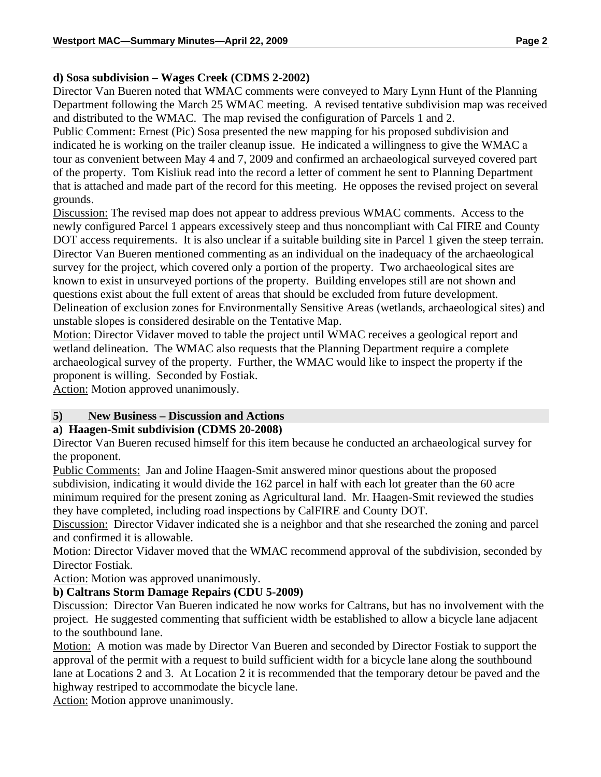# **d) Sosa subdivision – Wages Creek (CDMS 2-2002)**

Director Van Bueren noted that WMAC comments were conveyed to Mary Lynn Hunt of the Planning Department following the March 25 WMAC meeting. A revised tentative subdivision map was received and distributed to the WMAC. The map revised the configuration of Parcels 1 and 2.

Public Comment: Ernest (Pic) Sosa presented the new mapping for his proposed subdivision and indicated he is working on the trailer cleanup issue. He indicated a willingness to give the WMAC a tour as convenient between May 4 and 7, 2009 and confirmed an archaeological surveyed covered part of the property. Tom Kisliuk read into the record a letter of comment he sent to Planning Department that is attached and made part of the record for this meeting. He opposes the revised project on several grounds.

Discussion: The revised map does not appear to address previous WMAC comments. Access to the newly configured Parcel 1 appears excessively steep and thus noncompliant with Cal FIRE and County DOT access requirements. It is also unclear if a suitable building site in Parcel 1 given the steep terrain. Director Van Bueren mentioned commenting as an individual on the inadequacy of the archaeological survey for the project, which covered only a portion of the property. Two archaeological sites are known to exist in unsurveyed portions of the property. Building envelopes still are not shown and questions exist about the full extent of areas that should be excluded from future development. Delineation of exclusion zones for Environmentally Sensitive Areas (wetlands, archaeological sites) and unstable slopes is considered desirable on the Tentative Map.

Motion: Director Vidaver moved to table the project until WMAC receives a geological report and wetland delineation. The WMAC also requests that the Planning Department require a complete archaeological survey of the property. Further, the WMAC would like to inspect the property if the proponent is willing. Seconded by Fostiak.

Action: Motion approved unanimously.

# **5) New Business – Discussion and Actions**

#### **a) Haagen-Smit subdivision (CDMS 20-2008)**

Director Van Bueren recused himself for this item because he conducted an archaeological survey for the proponent.

Public Comments: Jan and Joline Haagen-Smit answered minor questions about the proposed subdivision, indicating it would divide the 162 parcel in half with each lot greater than the 60 acre minimum required for the present zoning as Agricultural land. Mr. Haagen-Smit reviewed the studies they have completed, including road inspections by CalFIRE and County DOT.

Discussion: Director Vidaver indicated she is a neighbor and that she researched the zoning and parcel and confirmed it is allowable.

Motion: Director Vidaver moved that the WMAC recommend approval of the subdivision, seconded by Director Fostiak.

Action: Motion was approved unanimously.

# **b) Caltrans Storm Damage Repairs (CDU 5-2009)**

Discussion: Director Van Bueren indicated he now works for Caltrans, but has no involvement with the project. He suggested commenting that sufficient width be established to allow a bicycle lane adjacent to the southbound lane.

Motion: A motion was made by Director Van Bueren and seconded by Director Fostiak to support the approval of the permit with a request to build sufficient width for a bicycle lane along the southbound lane at Locations 2 and 3. At Location 2 it is recommended that the temporary detour be paved and the highway restriped to accommodate the bicycle lane.

Action: Motion approve unanimously.